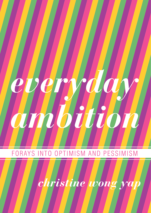

### FORAYS INTO OPTIMISM AND PESSIMISM

ristine O J WO  $\boldsymbol{n}$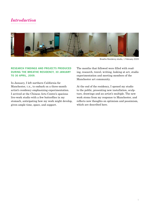## *Introduction*



Breathe Residency studio, 1 February 2009

### **Research findings and projects produced during the Breathe Residency, 30 January to 30 April, 2009.**

In January, I left northern California for Manchester, u.k., to embark on a three-month artist's residency emphasizing experimentation. I arrived at the Chinese Arts Centre's spacious live-work studio with a few butterflies in my stomach, anticipating how my work might develop, given ample time, space, and support.

The months that followed were filled with reading, research, travel, writing, looking at art, studio experimentation and meeting members of the Manchester art community.

At the end of the residency, I opened my studio to the public, presenting new installation, sculpture, drawings and an artist's multiple. The new work stems from my response to Manchester, and reflects new thoughts on optimism and pessimism, which are described here.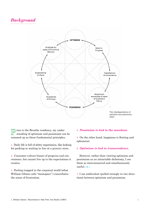# *Background*



The Breathe residency, my understanding of optimism and pessimism can be summed up as these fundamental principles:

**1.** Daily life is full of shitty experiences, like looking for parking or waiting in line at a grocery store.

**2.** Consumer culture boasts of progress and convenience, but cannot live up to the expectations it creates.

**3.** Feeling trapped in the corporeal world (what William Gibson calls "meatspace"<sup>1</sup> ) exacerbates the sense of frustration.

#### **4.** *Pessimism is tied to the mundane.*

**5.** On the other hand, happiness is fleeting and ephemeral.

#### **6.** *Optimism is tied to transcendence.*

However, rather than viewing optimism and pessimism as an intractable dichotomy, I see them as interconnected and simultaneously useful. **fig. 1**

**7.** I am ambivalent (pulled strongly in two directions) between optimism and pessimism.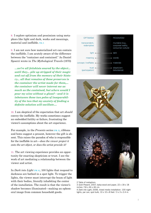**8.** I explore optimism and pessimism using metaphors like light and dark, works and meanings, material and ineffable. **fig. 2** 

**9.** I am not sure how materialized art can contain the ineffable. I am acutely aware of the difference between the "container and contained." As Daniel Spoerri wrote in *The Mythological Travels* (1970)

*…we're all fetishists snared by the object... until they... pile up stripped of their magic and cut off from the memory of their history... all that remains of these preserves is the container the artist made for them,... the container will never interest me as much as the contained, but where would I pour my wine without a glass?—and it is inbetween these two poles of inseparability of the two that my anxiety of finding a definite solution will oscillate....* 

**10.** I am skeptical of the expectation that art *should*  convey the ineffable. My works sometimes suggest an embedded futility or failure, frustrating the viewer's assumptions about the art experience.

For example, in the *Presents* series **[fig. 3]**, ribbons and bows suggest a present, however the gift is absent. This raises the paradox of who is responsible for the ineffable in art—*does the viewer project it onto the art object, or does the artist provide it?*

**11.** The art viewing experience provides an opportunity for enacting skepticism or trust. I see the work of art mediating a relationship between the viewer and artist.

In *Dark into Light* **[fig. 4]**, 100 lights that respond to darkness are bathed in a spot light. To trigger the lights, the viewer must interrupt the beam of light with their bodies, literally inhabiting the center of the installation. The result is that the viewer's shadow becomes illuminated—making an ephemeral image from common household goods.







2 Table of metaphors 3 *Gold Present*, 2007, balsa wood and paper, 22 x 18 x 18 inches / 56 x 46 x 46 cm. 4 *Dark into Light*, 2008, mixed media installation: 100 night

lights, par can, spot bulb, 10 x 10 x 8 feet / 3 x 3 x 2.4 m.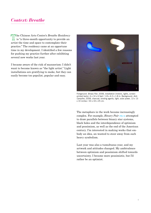## *Context: Breathe*

he Chinese Arts Centre's *Breathe Residency*  7 is "a three-month opportunity to provide an artist the time and space to contemplate their practice." The residency came at an opportune time in my development. I identified a few reasons for pushing my practice further after exhibiting several new works last year.

I became aware of the risk of mannerism: I didn't want to become known as "the light artist." Light installations are gratifying to make, but they can easily become too populist, popular and easy.



Foreground: *Binary Pair*, 2008, installation (motors, lights, screenprinted texts), 6 x 14 x 6 feet / 1.8 x 4.2 x 1.8 m. Background: *Anti-Campfire*, 2008, charcoal, binding agents, light, solar power, 13 x 13 x 10 inches / 33 x 33 x 25 cm.

The metaphors in the work became increasingly complex. For example, *Binary Pair* **[fig. 5]** attempted to draw parallels between binary star systems, black holes and the interdependence of optimism and pessimism, as well as the end of the American century. I'm interested in making works that embody an idea, an wanted to steer away from such heavy symbolism.

Last year was also a tumultuous year, and my artwork and attitudes changed. My ambivalence between optimism and pessimism shifted towards uncertainty. I became more pessimistic, but I'd rather be an optimist.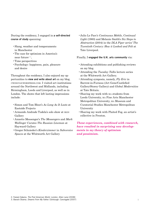During the residency, I engaged in **a self-directed course of study** spanning:

- •Slang, weather and temperaments in Manchester
- •The case for optimism in America's near future $2,3$ .
- •Time perspectives
- •Psychology: happiness, pain, pleasure and desire

Throughout the residency, I also enjoyed my opportunities to **view and write about art** on my blog, cwongyap.wordpress.com. I visited art institutions around the Northwest and Midlands, including Birmingham, Leeds and Liverpool, as well as in London. The shows that left lasting impressions include:

- •Simon and Tom Bloor's *As Long As It Lasts* at Eastside Projects
- •Armando Andrade Tudela's solo show at ikon Gallery
- •Annette Messenger's *The Messengers* and *Mark Wallinger Curates The Russian Lineman* at Hayward Gallery
- •Gregor Schnieder's *Kinderzimmer* in *Subversive Spaces* at the Whitworth Art Gallery

•Julio Le Parc's *Continuous Mobile, Continual Light* (1960) and Melanie Smith's *Six Steps to Abstraction* (2004) in the *DLA Piper series' The Twentieth Century: How it Looked and Felt* at Tate Liverpool.

#### Finally, I **engaged the U.K. arts community** via:

- •Attending exhibitions and publishing reviews on my blog.
- •Attending the *Tuesday Talks* lecture series at the Whitworth Art Gallery.
- •Attending symposia, namely, *Fly Eric* in Barrow-in-Furness (Art Gene/Castlefied Gallery/Storey Gallery) and *Global Modernities*  at Tate Britain.
- •Sharing my work with ma students from Leeds University, ma Fine Arts Manchester Metropolitan University, ma Museum and Curatorial Studies Manchester Metropolitan University
- •Sharing my work with Plaited Fog, an artist's collective in Preston.

*These experiences, combined with research, have resulted in surprising new developments in my theory of optimism and pessimism.*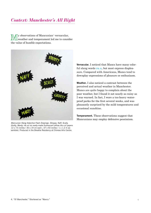# *Context: Manchester's All Right*

y observations of Mancunian<sup>4</sup> vernacular, weather and temperament led me to consider the value of humble expectations.



*Mancunian Slang Adjective Flash Drawings: Stroppy, Naff, Scally, Grotty, Mardy,* ink on six ready-made fluorescent yellow die-cut papers 12 x 7.5 inches / 30 x 19 cm each ; 37 x 50 inches / 1 x 1.2 m assembled. Produced in the Breathe Residency at Chinese Arts Centre.

**Vernacular.** I noticed that Mancs have many colorful slang words **[fig. 6]**, but most express displeasure. Compared with Americans, Mancs tend to downplay expressions of pleasure or enthusiasm.

**Weather.** I also noticed a contrast between the perceived and actual weather in Manchester. Mancs are quite happy to complain about the poor weather, but I found it not nearly as rainy as I was warned. In fact, I wore a too-heavy waterproof parka for the first several weeks, and was pleasantly surprised by the mild temperatures and occasional sunshine.

**Temperament.** These observations suggest that Mancunians may employ defensive pessimism.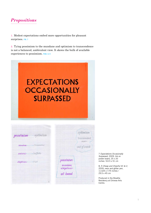

**1.** Modest expectations embed more opportunities for pleasant surprises. **fig. 7**

**2.** Tying pessimism to the mundane and optimism to transcendence is not a balanced, ambivalent view. It skews the bulk of available experiences to pessimism. **figs. 8, 9**



|                      | pessimism - optimism   |
|----------------------|------------------------|
|                      | mundane - transcendent |
| material- -ineffable |                        |
| skeptieism - trust   |                        |



7 *Expectations Occasionally Surpassed*, 2009, Ink on poster board, 25 x 20 inches / 63.5 x 51 cm

8, 9 *Cheap and Cheerful #1 & 2*, 2009, neon and glitter pen, 11.625 x 7.75 inches / 29.5 x 45 cm

Produced in the Breathe Residency at Chinese Arts Centre.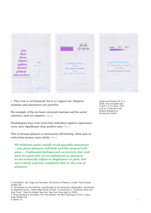



**3.** This view is not balanced, but it *is* a logical one. Negative emotions and experiences are powerful.

For example, of the six basic universal emotions and the social emotions, most are negative.<sup>5</sup> **FIG. 10** 

Psychologists have even noted that individual negative experiences carry more significance than positive ones.<sup>6</sup> **FIG. 11** 

This is because pleasure is necessarily self-limiting, while pain recedes from memory more slowly.<sup>7</sup> **fig. 12**

*We habituate quite rapidly to pleasurable sensations …any given pleasure will fade and the moment will pass…. Unpleasant feelings such as anxiety, fear and pain are generally not as ephemeral as pleasure; we do eventually adjust to displeasure or pain, but more slowly and less completely that in the case of pleasure.*<sup>8</sup>

5. Paul Martin. *Sex, Drugs and Chocolate: The Science of Pleasure*. London: Fourth Estate [2008] 152

*Cheap and Cheerful #3, 4, 5,* 2009, neon and glitter pen, 11.625 x 7.75 inches / 29.5 x 45 cm. Produced in the Breathe Residency at Chinese Arts Centre.

<sup>6.</sup> The research of John Gottman, a psychologist at the University of Washington, summarized by Stephanie Coontz. "History May Not Be a Guide," a submission in "Husbands, Wives and Hard Times." *Room for Debate*. New York: *New York Times* [April 8, 2009]

<sup>7.</sup> Philip Zimbardo & John Boyd, *The Time Paradox: The New Psychology of Time*. London: Rider [2008] 254 8. Martin 19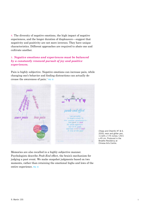**4.** The diversity of negative emotions, the high impact of negative experiences, and the longer duration of displeasure—suggest that negativity and positivity are not mere inverses. They have unique characteristics. Different approaches are required to abate one and cultivate another.

### **5.** *Negative emotions and experiences must be balanced by a constantly renewed pursuit of joy and positive experiences.*

Pain is highly subjective. Negative emotions can increase pain, while changing one's behavior and finding distractions can actually decrease the awareness of pain.<sup>9</sup> **fig. 13**



*Cheap and Cheerful #7 & 6,*  2009, neon and glitter pen, 11.625 x 7.75 inches / 29.5 x 45 cm. Produced in the Breathe Residency at Chinese Arts Centre.

Memories are also recalled in a highly subjective manner. Psychologists describe *Peak-End* effect, the brain's mechanism for judging a past event. We make snapshot judgments based on two moments, rather than retaining the emotional highs and lows of the entire experience. **fig. 14**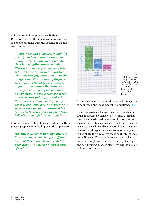**6.** Pleasure and happiness are distinct. Pleasure is one of three necessary components of happiness, along with the absence of displeasure, and satisfaction.

*…happiness and pleasure, though frequently confused, are not the same…. …happiness is made up of three distinct but complimentary strands… Pleasure … means feeling good; it is signified by the presence of positive emotions like joy, contentment, pride or affection. The absence of displeasure refers to the absence of pain or unpleasant emotions like sadness, anxiety, fear, anger, guilt or shame. Satisfaction, the third element of happiness, means judging, on reflection, that you are satisfied with your life in general and with specific aspects of it, such as your personal relationships or career. Satisfaction can come from believing your life has meaning."* <sup>10</sup>

**7.** While pleasure should not be confused with happiness, people cannot be happy without pleasure.

*Happiness … comes in many different flavours, each comprising a different blend of three core elements. To be truly happy, you need at least a little*  of each.<sup>11</sup>



*Cheap and Cheerful #9,* 2009, neon and glitter pen, 11.625 x 7.75 inches / 29.5 x 45 cm. Produced in the Breathe Residency at Chinese Arts Centre.

**8.** Pleasure may be the most attainable component of happiness, the most modest in ambitions. **fig. 15** 

I characterize satisfaction as a high ambition because it requires a sense of self-efficacy, impulsecontrol and sustained behaviors. I characterize the absence of displeasure as a moderate ambition, because, as we have already established, negative emotions and experiences are common and powerful; to abate them requires emotional intelligence and willpower. Pleasure, however, is a modest ambition. As pleasures are necessarily fleeting and self-limiting, modest pleasures will do just as well as grand ones.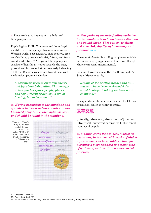**9.** Pleasure is also important in a balanced time-perspective.

Psychologists Philip Zimbardo and John Boyd identified six time-perspectives common in the Western world: past-negative, past-positive, present-fatalistic, present-hedonist, future, and transcendental future.12 An optimal time-perspective consists of healthy attitudes towards the past, present and future and simultaneously balancing all three. Readers are advised to embrace, with moderation, present hedonism.

*A hedonistic present gives you energy and joy about being alive. That energy drives you to explore people, places and self. Present hedonism is life-affirming, in moderation….*<sup>13</sup>

**10.** *If tying pessimism to the mundane and optimism to transcendence creates an imbalanced perspective, then optimism can and should be found in the mundane.*





**11.** *One pathway towards finding optimism in the mundane is in Manchester's discount and pound shops. They epitomize* **cheap and cheerful***, signifying immediacy and pleasure.* **fig. 16**

*Cheap and cheerful* is an English phrase notable for its thoroughly appreciative tone, even though Mancs can seem unsentimental.

It's also characteristic of the 'Northern Soul.' As Stuart Maconie put it,

*...many of the north's market and mill towns … have become shrine[s] devoted to binge drinking and discount shopping.*<sup>14</sup>

Cheap and cheerful also reminds me of a Chinese expression, which is nearly identical:

## 又平又靚

[Literally, "also cheap, also attractive"]. For my ultra-frugal immigrant parents, no higher compliment could be paid.

**12.** *Making works that embody modest expectations, in tandem with works of higher expectations, can be a viable method for pursuing a more nuanced understanding of optimism, and result in a more varied practice.*

13. Zimbardo & Boyd 298

<sup>14.</sup> Stuart Maconie. *Pies and Prejudice: In Search of the North*. Reading: Ebury Press [2008]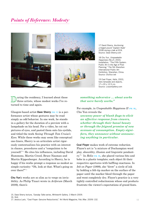## *Points of Reference: Modesty*



17 David Sherry, *Auctioning a forged pound 'Captain Hyde'* 2008 during a talk at ECA. Source: Dave-Sherry.com

18 Chu Yun, *Unspeakable Happiness (No.2)*, 2003, Installation, "The Fifth System: Public Art in the Age of Post-Planning," The 5th Shenzhen International Public Art Exhibition, Shenzhen, China. Source: ChuYun.net

19 Ceal Floyer, *Helix*, 2003, helix template and objects, 17 x 20 x 12.5 cm. Source: LissonGallery.com

uring the residency, I learned about these three artists, whose modest works I've returned to time and again.

Glasgow-based artist **Dave Sherry [fig. 17]** is a performance artist whose gestures may be read simply as odd behavior. In one work, he stands in a gallery for the duration of a preview with a lampshade on his head. For a video, he cut out pictures of eyes, and pasted them onto his eyelids, and titled the work *Seeing Through Tom Cruise's Eyes*. While these works may seem like conceptual one-liners, Sherry is an articulate artist rigorously contextualizes his practice with an interest in chance, procedures and a "compulsion to be yourself."15 He cites his influences, including David Hammons, Martin Creed, Bruce Nauman and Martin Kippenberger. According to Sherry, he is happy if his works prompt a response as modest as simple curiosity: "Oh, look at that. What's going on over there?"<sup>16</sup>

**Chu Yun**'s works are so slim as to verge on invisibility. As Philip Tinari wrote in *Artforum* (March 2009), there's

#### *something subversive … about works that were barely works."*

For example, in *Unspeakable Happiness II* **[fig. 18]**, Chu Yun reveals the

*uncanny power of blank flags to elicit an affective response from viewers, whether through their banal beauty or through the feigned promise of new avenues of consumption. Empty signifiers, they announce without announcing anything in particular.*

**Ceal Floyer** makes work of extreme reduction. Floyer's art is "a mixture of Duchampian word play, absurdity, illusion and linguistic pendantry."17 In *Helix* **[fig. 19]**, she placed various bits and bobs in a plastic template; each object fit their respective apertures with baffling exactness. In *Ink on Paper* (1999), she "drew" a circle of ink by holding a felt-tip marker on the surface of the paper until the marker bleed through the paper and went completely dry. Floyer's practice is a very tightly controlled reductionism whose end products frustrate the viewer's expectations of grand feats.

16. Ibid.

<sup>15.</sup> Dave Sherry lecture, *Tuesday Talks* series, Whitworth Gallery. 3 March 2009.

<sup>17.</sup> Jessica Lack, "Ceal Floyer: Genuine Reductionist," Art World Magazine, Feb./Mar. 2009) 132.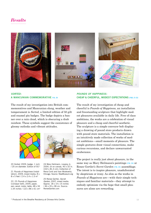## *Results*



### *Sorted:* **A Mancunian Commemorative fig. 20**

The result of my investigation into British commemoratives and Mancunian slang, weather and temperament is *Sorted*, a limited edition of 50 gilt and enamel pin badges. The badge depicts a banner over a rain cloud, which is obscuring a drab rainbow. These symbols suggest the coexistence of gloomy outlooks and vibrant attitudes.



20 *Sorted*, 2009, badge, 1 inch / 25 cm diameter. Edition of 50.\*

21 *Pounds of Happiness* (installation), 2009, mixed media, 8 x 8 x 5 feet / 2.4 x 2.4 x 1.5 m\*

22, 23 *Pounds of Happiness*  (conveyor belt), 2009, paper, pen, wood, motor, table, 48 x 34 x 24 inches / 122 x 86 x 61 cm\*



24 Mary Heilmann, *Lovejoy Jr.*, 2004, oil on canvas, 40 x 32 in. (102 x 81.3 cm), Collection of Rena Conti and Ivan Moskowitz, Chicago. Source: NewMuseum.org

25 Renee Gertler, *Secret Garden*, 2007, mixed media. Approx. 18 x 14 x 15 inches / 46 x 35 x 38 cm. Source: ReneeGertler.com

#### *Pounds of Happiness:*  **Cheap & Cheerful, Modest Expectations [figs. 21-23]**

The result of my investigation of cheap and cheerful is *Pounds of Happiness*, an installation and freestanding sculpture that highlight modest pleasures available in daily life. Free of class ambitions, the works are a celebration of visual pleasure and a cheap and cheerful aesthetic. The sculpture is a simple conveyor belt displaying a drawing of pound store products drawn with pound store materials. The installation is an intuitively made collection of works of modest ambitions—small moments of pleasure. The simple gestures draw visual connections, make curious recursions, and declare unwarranted exuberance.

The project is really just about pleasure, in the same way as Mary Heilmann's paintings **[fig. 24]** or Renee Gertler's *Secret Garden* **[fig. 25]** assemblage. The intent is to inspire pleasure, unadulterated by skepticism or irony. As slim as the works in *Pounds of Happiness* are—with their simple techniques and familiar materials—they attempt to embody optimism via the hope that small pleasures are alone are rewarding.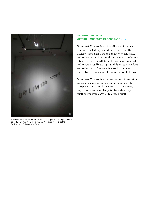

*Unlimited Promise*, 2009, installation: foil paper, thread, light, shadow, 15 x 20 x 14 feet / 4.5 x 6 x 4.2 m. Produced in the Breathe Residency at Chinese Arts Centre.

#### *Unlimited Promise:* **Material Modesty as Contrast fig. 26**

*Unlimited Promise* is an installation of text cut from mirror foil paper and hung individually. Gallery lights cast a strong shadow on one wall, and reflections spin around the room as the letters rotate. It is an installation of inversions: forwardand reverse-readings, light and dark, cast shadows and reflections. The work is mostly immaterial, correlating to its theme of the unknowable future.

*Unlimited Promise* is an examination of how high ambitions bring optimism and pessimism into sharp contrast: the phrase, UNLIMITED PROMISE, may be read as available potentials (to an optimist) or impossible goals (to a pessimist).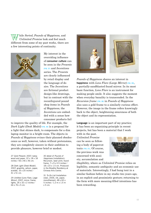hile *Sorted*, *Pounds of Happiness,* and *Unlimited Promise* look and feel much different from some of my past works, there are a few interesting points of continuity.





My interest in the overriding influence of **consumer culture** can be seen in the *Presents* **[fig. 27]** and *Inventions* series. The *Presents* are clearly influenced by retail display and the language of desire. The *Inventions* are fictional product design-like drawings, but in contrast with the reconfirgured pound shop items in *Pounds of Happiness*, the *Inventions* are embedded with a sense how consumer products fail

to improve the quality of life. For example, the *Dark Light (Desk Model)* **[fig. 28]** is a proposal for a light that shines dark, to compensate for a dim laptop monitor in a bright room. The objects in *Pounds of Happiness* evince their planned obsolescence as well, however, taken without pretensions, they are completely sincere in their ambition to provide pleasure, however brief or modest.

27 *Gold Present*, 2007, balsa wood and paper, 22 x 18 x 18 inches / 56 x 46 x 46 cm.

28 *Dark Light (Desk Model)*, 2007, graphite, vellum, paper, acetate, 16 x 20 inches / 41 x 51 cm.

29 *Untitled (Lens Flare, Large Mirror)*, 2007, mirror, frame, lights, 26 x 32 x 2 inches / 66 x 76 x 5 cm.

30 detail of *Pounds of Happiness* (installation): Recursion, laser print, found frame, 7 x 9 x 0.5 inches / 18 x 23 x 1.5 cm. Produced in the Breathe Residency at Chinese Arts Centre.

31 *To-Do List* (installation view), 2006, ink, paper, monofilament, 48 x 60 x 5 inches / 1.2 m x 1.5 m x 5 cm.



*Pounds of Happiness* shares an interest in **happiness** with *Lens Flare (Large Mirror)* **[fig. 29]**, a partially-sandblasted found mirror. In its most basic function, *Lens Flare* is an instrument for making people smile. It also suggests the moment when everyday banality is transcended. In the *Recursion frame* **[fig. 30]** in *Pounds of Happiness* also uses a gold frame to a similarly curious effect. However, the image in the frame refers knowingly back to the object, heightening awareness of both the object and its representation.

**Language** is an important part of my practice; it has been an organizing principle in recent projects, but has been a material that I work with in the past.

*Unlimited Promise* can be seen as following a body of papercut texts **[fig. 31]**. Of course, the previous work was concerned with anxiety, accumulation and



illegibility, where as *Unlimited Promise* relies on legibility, semantic ambiguity and an economic use of materials. Interestingly, I had hung text in a similar fashion before in my studio two years ago, in an explicit and pessimistic gesture; returning to the form with more meaning-filled intentions has been rewarding.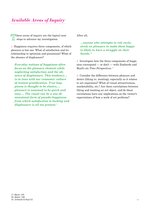# *Available Areas of Inquiry*

**N** hese areas of inquiry are the logical next steps to advance my investigation.

**1.** Happiness requires three components, of which pleasure is but one. What of satisfaction and its relationship to optimism and pessimism? What of the absence of displeasure?

*Everyday notions of happiness often focus on the pleasure element while neglecting satisfaction and the absence of displeasure. This tendency… is in tune with our consumer culture of instant gratification. True happiness is thought to be elusive,… pleasure is assumed to be quick and easy…. The result can be a one-dimensional form of pseudo-happiness from which satisfaction is lacking and displeasure is all too present.*<sup>17</sup>

After all,

*…anyone who attempts to rely exclusively on pleasure to make them happy is likely to have a struggle on their hands.*<sup>18</sup>

**2.** Investigate how the three components of happiness correspond — or don't — with Zimbardo and Boyd's six *Time Perspectives*. 19

**3.** Consider the difference between pleasure and desire (liking vs. wanting), especially as it relates to art experience? What of visual attractiveness, marketability, etc.? Are there correlations between liking and wanting an art object, and do these correlations have any implications on the viewer's expectations of how a work of art performs?